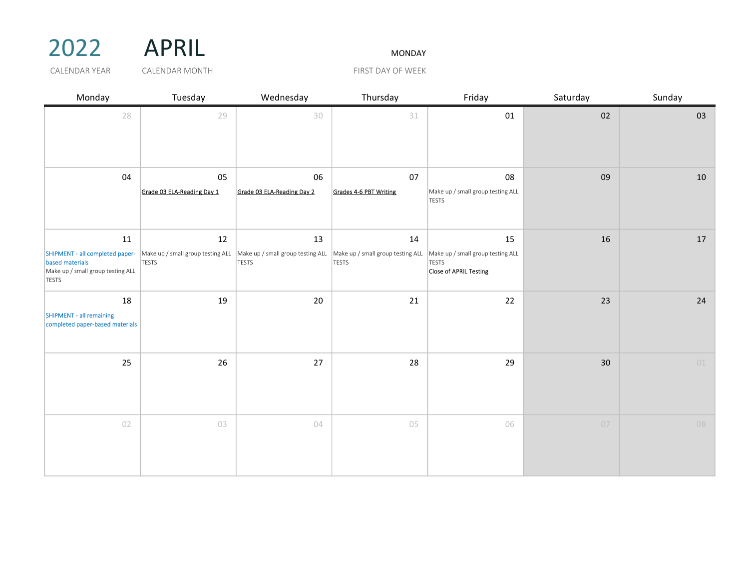## 2022 APRIL

CALENDAR YEAR CALENDAR MONTH FIRST DAY OF WEEK

| Monday                                                                                                            | Tuesday                                                 | Wednesday                                                                                   | Thursday                     | Friday                                                                                   | Saturday | Sunday |
|-------------------------------------------------------------------------------------------------------------------|---------------------------------------------------------|---------------------------------------------------------------------------------------------|------------------------------|------------------------------------------------------------------------------------------|----------|--------|
| 28                                                                                                                | 29                                                      | 30                                                                                          | 31                           | 01                                                                                       | 02       | 03     |
| 04                                                                                                                | 05<br>Grade 03 ELA-Reading Day 1                        | 06<br>Grade 03 ELA-Reading Day 2                                                            | 07<br>Grades 4-6 PBT Writing | 08<br>Make up / small group testing ALL<br><b>TESTS</b>                                  | 09       | 10     |
| $11\,$<br>SHIPMENT - all completed paper-<br>based materials<br>Make up / small group testing ALL<br><b>TESTS</b> | 12<br>Make up / small group testing ALL<br><b>TESTS</b> | 13<br>Make up / small group testing ALL   Make up / small group testing ALL<br><b>TESTS</b> | 14<br><b>TESTS</b>           | 15<br>Make up / small group testing ALL<br><b>TESTS</b><br><b>Close of APRIL Testing</b> | 16       | $17\,$ |
| 18<br>SHIPMENT - all remaining<br>completed paper-based materials                                                 | 19                                                      | 20                                                                                          | 21                           | 22                                                                                       | 23       | $24\,$ |
| 25                                                                                                                | 26                                                      | 27                                                                                          | 28                           | 29                                                                                       | 30       | 01     |
| 02                                                                                                                | 03                                                      | 04                                                                                          | 05                           | 06                                                                                       | 07       | 08     |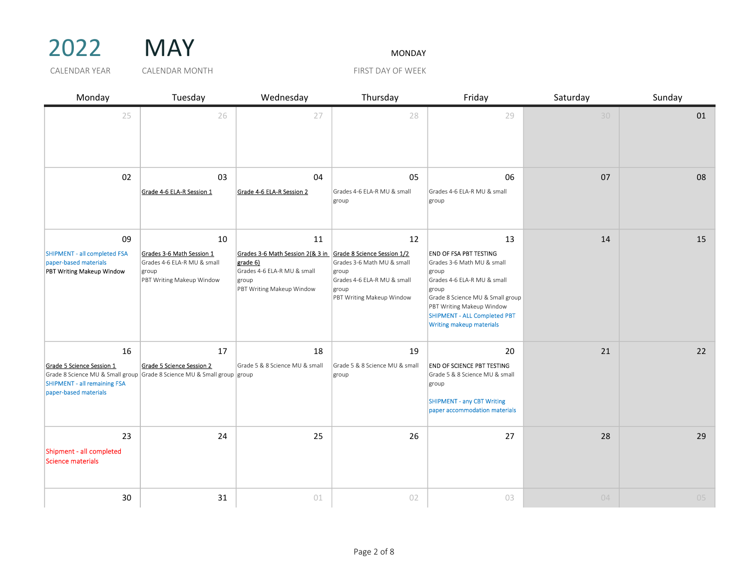# 2022 MAY MONDAY

CALENDAR YEAR CALENDAR MONTH THE SERIES OF WEEK CALENDAR MONTH

| Monday                                                                                                                                                                     | Tuesday                                                                                              | Wednesday                                                                                                               | Thursday                                                                                                                                      | Friday                                                                                                                                                                                                                                                        | Saturday | Sunday |
|----------------------------------------------------------------------------------------------------------------------------------------------------------------------------|------------------------------------------------------------------------------------------------------|-------------------------------------------------------------------------------------------------------------------------|-----------------------------------------------------------------------------------------------------------------------------------------------|---------------------------------------------------------------------------------------------------------------------------------------------------------------------------------------------------------------------------------------------------------------|----------|--------|
| 25                                                                                                                                                                         | 26                                                                                                   | 27                                                                                                                      | 28                                                                                                                                            | 29                                                                                                                                                                                                                                                            | 30       | 01     |
| 02                                                                                                                                                                         | 03<br>Grade 4-6 ELA-R Session 1                                                                      | 04<br>Grade 4-6 ELA-R Session 2                                                                                         | 05<br>Grades 4-6 ELA-R MU & small<br>group                                                                                                    | 06<br>Grades 4-6 ELA-R MU & small<br>group                                                                                                                                                                                                                    | 07       | 08     |
| 09<br>SHIPMENT - all completed FSA<br>paper-based materials<br>PBT Writing Makeup Window                                                                                   | 10<br>Grades 3-6 Math Session 1<br>Grades 4-6 ELA-R MU & small<br>group<br>PBT Writing Makeup Window | 11<br>Grades 3-6 Math Session 2(& 3 in<br>grade 6)<br>Grades 4-6 ELA-R MU & small<br>group<br>PBT Writing Makeup Window | 12<br>Grade 8 Science Session 1/2<br>Grades 3-6 Math MU & small<br>group<br>Grades 4-6 ELA-R MU & small<br>group<br>PBT Writing Makeup Window | 13<br><b>END OF FSA PBT TESTING</b><br>Grades 3-6 Math MU & small<br>group<br>Grades 4-6 ELA-R MU & small<br>group<br>Grade 8 Science MU & Small group<br>PBT Writing Makeup Window<br><b>SHIPMENT - ALL Completed PBT</b><br><b>Writing makeup materials</b> | 14       | 15     |
| 16<br>Grade 5 Science Session 1<br>Grade 8 Science MU & Small group Grade 8 Science MU & Small group group<br><b>SHIPMENT - all remaining FSA</b><br>paper-based materials | 17<br>Grade 5 Science Session 2                                                                      | 18<br>Grade 5 & 8 Science MU & small                                                                                    | 19<br>Grade 5 & 8 Science MU & small<br>group                                                                                                 | 20<br><b>END OF SCIENCE PBT TESTING</b><br>Grade 5 & 8 Science MU & small<br>group<br><b>SHIPMENT - any CBT Writing</b><br>paper accommodation materials                                                                                                      | 21       | 22     |
| 23<br>Shipment - all completed<br>Science materials                                                                                                                        | 24                                                                                                   | 25                                                                                                                      | 26                                                                                                                                            | 27                                                                                                                                                                                                                                                            | 28       | 29     |
| 30                                                                                                                                                                         | 31                                                                                                   | 01                                                                                                                      | 02                                                                                                                                            | 03                                                                                                                                                                                                                                                            | 04       | 05     |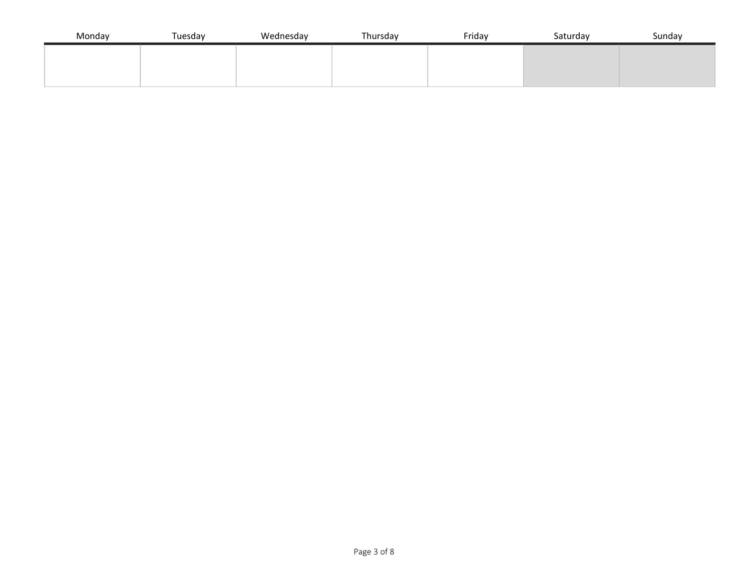| Monday | Tuesday | Wednesday | Thursday | Friday | Saturday | Sunday |
|--------|---------|-----------|----------|--------|----------|--------|
|        |         |           |          |        |          |        |
|        |         |           |          |        |          |        |
|        |         |           |          |        |          |        |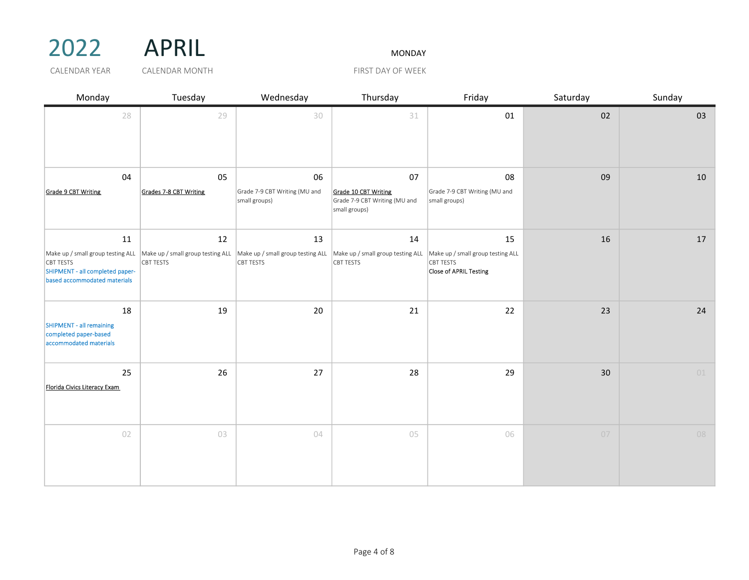| 2022 | APRIL | MONDAY |
|------|-------|--------|
|      |       |        |

CALENDAR YEAR CALENDAR MONTH FIRST DAY OF WEEK CALENDAR MONTH

| Monday                                                                             | Tuesday                      | Wednesday                                                                                                                                                               | Thursday                                                                     | Friday                                                                         | Saturday | Sunday |
|------------------------------------------------------------------------------------|------------------------------|-------------------------------------------------------------------------------------------------------------------------------------------------------------------------|------------------------------------------------------------------------------|--------------------------------------------------------------------------------|----------|--------|
| 28                                                                                 | 29                           | 30                                                                                                                                                                      | 31                                                                           | 01                                                                             | 02       | 03     |
| 04<br>Grade 9 CBT Writing                                                          | 05<br>Grades 7-8 CBT Writing | 06<br>Grade 7-9 CBT Writing (MU and<br>small groups)                                                                                                                    | 07<br>Grade 10 CBT Writing<br>Grade 7-9 CBT Writing (MU and<br>small groups) | 08<br>Grade 7-9 CBT Writing (MU and<br>small groups)                           | 09       | 10     |
| 11<br>CBT TESTS<br>SHIPMENT - all completed paper-<br>based accommodated materials | 12<br>CBT TESTS              | 13<br>Make up / small group testing ALL   Make up / small group testing ALL   Make up / small group testing ALL   Make up / small group testing ALL<br><b>CBT TESTS</b> | 14<br>CBT TESTS                                                              | 15<br>Make up / small group testing ALL<br>CBT TESTS<br>Close of APRIL Testing | 16       | 17     |
| 18<br>SHIPMENT - all remaining<br>completed paper-based<br>accommodated materials  | 19                           | 20                                                                                                                                                                      | 21                                                                           | 22                                                                             | 23       | 24     |
| 25<br>Florida Civics Literacy Exam                                                 | 26                           | 27                                                                                                                                                                      | 28                                                                           | 29                                                                             | 30       | 01     |
| 02                                                                                 | 03                           | 04                                                                                                                                                                      | 05                                                                           | 06                                                                             | 07       | 08     |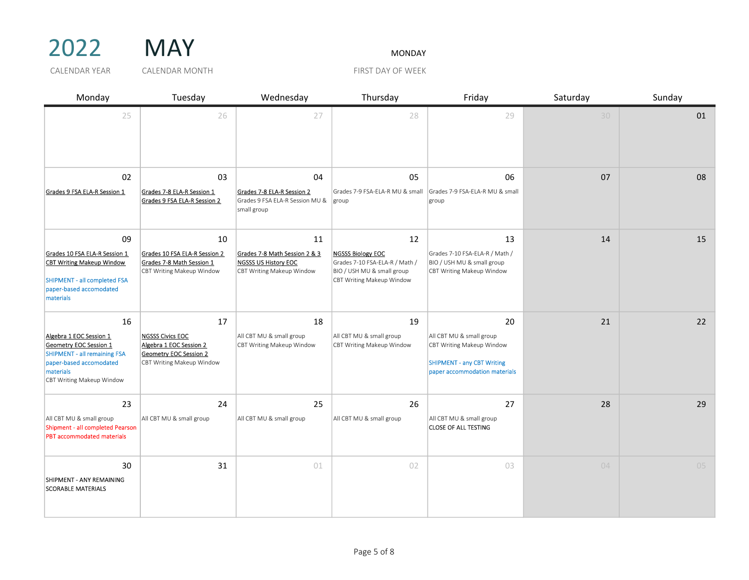

CALENDAR MONTH

CALENDAR YEAR CALENDAR MONTH THE SERIES OF WEEK

| Monday                                                                                                                                                                     | Tuesday                                                                                                                | Wednesday                                                                                       | Thursday                                                                                                                    | Friday                                                                                                                            | Saturday | Sunday |
|----------------------------------------------------------------------------------------------------------------------------------------------------------------------------|------------------------------------------------------------------------------------------------------------------------|-------------------------------------------------------------------------------------------------|-----------------------------------------------------------------------------------------------------------------------------|-----------------------------------------------------------------------------------------------------------------------------------|----------|--------|
| 25                                                                                                                                                                         | 26                                                                                                                     | 27                                                                                              | 28                                                                                                                          | 29                                                                                                                                | 30       | 01     |
| 02<br>Grades 9 FSA ELA-R Session 1                                                                                                                                         | 03<br>Grades 7-8 ELA-R Session 1<br>Grades 9 FSA ELA-R Session 2                                                       | 04<br>Grades 7-8 ELA-R Session 2<br>Grades 9 FSA ELA-R Session MU &<br>small group              | 05<br>Grades 7-9 FSA-ELA-R MU & small<br>group                                                                              | 06<br>Grades 7-9 FSA-ELA-R MU & small<br>group                                                                                    | 07       | 08     |
| 09<br>Grades 10 FSA ELA-R Session 1<br><b>CBT Writing Makeup Window</b><br>SHIPMENT - all completed FSA<br>paper-based accomodated<br>materials                            | 10<br>Grades 10 FSA ELA-R Session 2<br>Grades 7-8 Math Session 1<br>CBT Writing Makeup Window                          | 11<br>Grades 7-8 Math Session 2 & 3<br><b>NGSSS US History EOC</b><br>CBT Writing Makeup Window | 12<br><b>NGSSS Biology EOC</b><br>Grades 7-10 FSA-ELA-R / Math /<br>BIO / USH MU & small group<br>CBT Writing Makeup Window | 13<br>Grades 7-10 FSA-ELA-R / Math /<br>BIO / USH MU & small group<br>CBT Writing Makeup Window                                   | 14       | 15     |
| 16<br>Algebra 1 EOC Session 1<br><b>Geometry EOC Session 1</b><br>SHIPMENT - all remaining FSA<br>paper-based accomodated<br>materials<br><b>CBT Writing Makeup Window</b> | 17<br><b>NGSSS Civics EOC</b><br>Algebra 1 EOC Session 2<br><b>Geometry EOC Session 2</b><br>CBT Writing Makeup Window | 18<br>All CBT MU & small group<br>CBT Writing Makeup Window                                     | 19<br>All CBT MU & small group<br>CBT Writing Makeup Window                                                                 | 20<br>All CBT MU & small group<br>CBT Writing Makeup Window<br><b>SHIPMENT - any CBT Writing</b><br>paper accommodation materials | 21       | 22     |
| 23<br>All CBT MU & small group<br><b>Shipment - all completed Pearson</b><br>PBT accommodated materials                                                                    | 24<br>All CBT MU & small group                                                                                         | 25<br>All CBT MU & small group                                                                  | 26<br>All CBT MU & small group                                                                                              | 27<br>All CBT MU & small group<br><b>CLOSE OF ALL TESTING</b>                                                                     | 28       | 29     |
| 30<br>SHIPMENT - ANY REMAINING<br><b>SCORABLE MATERIALS</b>                                                                                                                | 31                                                                                                                     | 01                                                                                              | 02                                                                                                                          | 03                                                                                                                                | 04       | 05     |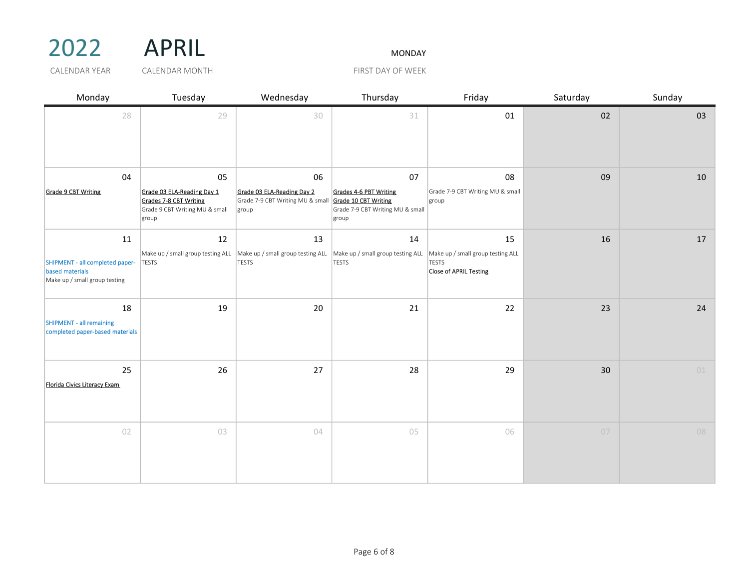| 2022          | APRIL          | MONDAY            |
|---------------|----------------|-------------------|
| CALENDAR YEAR | CALENDAR MONTH | FIRST DAY OF WFFK |

| Monday                                                                                          | Tuesday                                                                                               | Wednesday                                                                                                                   | Thursday                                                                  | Friday                                          | Saturday | Sunday |
|-------------------------------------------------------------------------------------------------|-------------------------------------------------------------------------------------------------------|-----------------------------------------------------------------------------------------------------------------------------|---------------------------------------------------------------------------|-------------------------------------------------|----------|--------|
| 28                                                                                              | 29                                                                                                    | 30                                                                                                                          | 31                                                                        | 01                                              | 02       | 03     |
| 04<br><b>Grade 9 CBT Writing</b>                                                                | 05<br>Grade 03 ELA-Reading Day 1<br>Grades 7-8 CBT Writing<br>Grade 9 CBT Writing MU & small<br>group | 06<br>Grade 03 ELA-Reading Day 2<br>Grade 7-9 CBT Writing MU & small Grade 10 CBT Writing<br>group                          | 07<br>Grades 4-6 PBT Writing<br>Grade 7-9 CBT Writing MU & small<br>group | 08<br>Grade 7-9 CBT Writing MU & small<br>group | 09       | 10     |
| 11<br>SHIPMENT - all completed paper- TESTS<br>based materials<br>Make up / small group testing | 12<br>Make up / small group testing ALL                                                               | 13<br>Make up / small group testing ALL Make up / small group testing ALL Make up / small group testing ALL<br><b>TESTS</b> | 14<br><b>TESTS</b>                                                        | 15<br><b>TESTS</b><br>Close of APRIL Testing    | 16       | 17     |
| 18<br><b>SHIPMENT - all remaining</b><br>completed paper-based materials                        | 19                                                                                                    | 20                                                                                                                          | 21                                                                        | 22                                              | 23       | 24     |
| 25<br>Florida Civics Literacy Exam                                                              | 26                                                                                                    | 27                                                                                                                          | 28                                                                        | 29                                              | 30       | 01     |
| 02                                                                                              | 03                                                                                                    | 04                                                                                                                          | 05                                                                        | 06                                              | 07       | 08     |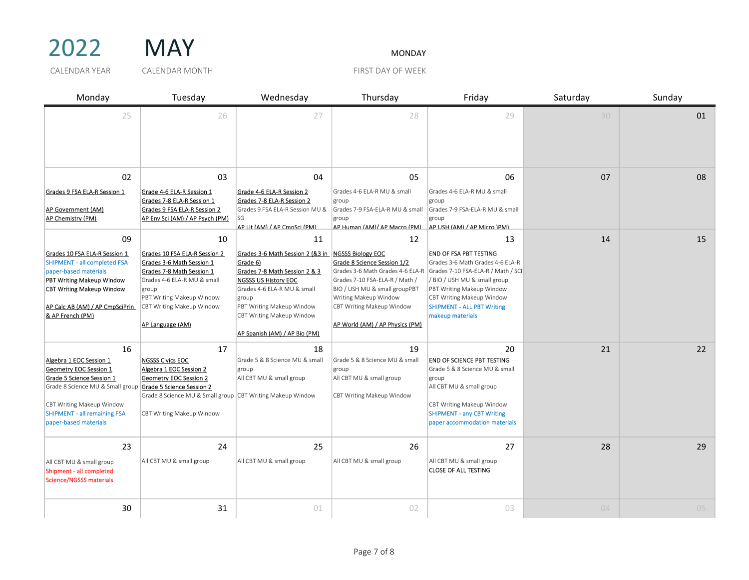

CALENDAR MONTH

CALENDAR YEAR CALENDAR MONTH THE SERIES OF WEEK

| Monday                                                                                                                                                                                                                      | Tuesday                                                                                                                                                                                                             | Wednesday                                                                                                                                                                                                                                                    | Thursday                                                                                                                                                                                                                                                      | Friday                                                                                                                                                                                                                                                    | Saturday | Sunday |
|-----------------------------------------------------------------------------------------------------------------------------------------------------------------------------------------------------------------------------|---------------------------------------------------------------------------------------------------------------------------------------------------------------------------------------------------------------------|--------------------------------------------------------------------------------------------------------------------------------------------------------------------------------------------------------------------------------------------------------------|---------------------------------------------------------------------------------------------------------------------------------------------------------------------------------------------------------------------------------------------------------------|-----------------------------------------------------------------------------------------------------------------------------------------------------------------------------------------------------------------------------------------------------------|----------|--------|
| 25                                                                                                                                                                                                                          | 26                                                                                                                                                                                                                  | 27                                                                                                                                                                                                                                                           | 28                                                                                                                                                                                                                                                            | 29                                                                                                                                                                                                                                                        | 30       | 01     |
| 02<br>Grades 9 FSA ELA-R Session 1<br>AP Government (AM)<br>AP Chemistry (PM)                                                                                                                                               | 03<br>Grade 4-6 ELA-R Session 1<br>Grades 7-8 ELA-R Session 1<br>Grades 9 FSA ELA-R Session 2<br>AP Env Sci (AM) / AP Psych (PM)                                                                                    | 04<br>Grade 4-6 ELA-R Session 2<br>Grades 7-8 ELA-R Session 2<br>Grades 9 FSA ELA-R Session MU &<br>SG<br>AP Lit (AM) / AP CmnSci (PM)                                                                                                                       | 05<br>Grades 4-6 ELA-R MU & small<br>group<br>Grades 7-9 FSA-ELA-R MU & small<br>group<br>AP Human (AM)/ AP Macro (PM)                                                                                                                                        | 06<br>Grades 4-6 ELA-R MU & small<br>group<br>Grades 7-9 FSA-ELA-R MU & small<br>group<br>AP USH (AM) / AP Micro (PM)                                                                                                                                     | 07       | 08     |
| 09<br>Grades 10 FSA ELA-R Session 1<br><b>SHIPMENT - all completed FSA</b><br>paper-based materials<br>PBT Writing Makeup Window<br><b>CBT Writing Makeup Window</b><br>AP Calc AB (AM) / AP CmpSciPrin<br>& AP French (PM) | 10<br>Grades 10 FSA ELA-R Session 2<br>Grades 3-6 Math Session 1<br>Grades 7-8 Math Session 1<br>Grades 4-6 ELA-R MU & small<br>group<br>PBT Writing Makeup Window<br>CBT Writing Makeup Window<br>AP Language (AM) | 11<br>Grades 3-6 Math Session 2 (&3 in<br>Grade 6)<br>Grades 7-8 Math Session 2 & 3<br><b>NGSSS US History EOC</b><br>Grades 4-6 ELA-R MU & small<br>group<br>PBT Writing Makeup Window<br><b>CBT Writing Makeup Window</b><br>AP Spanish (AM) / AP Bio (PM) | 12<br><b>NGSSS Biology EOC</b><br>Grade 8 Science Session 1/2<br>Grades 3-6 Math Grades 4-6 ELA-R<br>Grades 7-10 FSA-ELA-R / Math /<br>BIO / USH MU & small groupPBT<br>Writing Makeup Window<br>CBT Writing Makeup Window<br>AP World (AM) / AP Physics (PM) | 13<br>END OF FSA PBT TESTING<br>Grades 3-6 Math Grades 4-6 ELA-R<br>Grades 7-10 FSA-ELA-R / Math / SCI<br>/ BIO / USH MU & small group<br>PBT Writing Makeup Window<br>CBT Writing Makeup Window<br><b>SHIPMENT - ALL PBT Writing</b><br>makeup materials | 14       | 15     |
| 16<br>Algebra 1 EOC Session 1<br>Geometry EOC Session 1<br>Grade 5 Science Session 1<br>Grade 8 Science MU & Small group<br>CBT Writing Makeup Window<br><b>SHIPMENT - all remaining FSA</b><br>paper-based materials       | 17<br><b>NGSSS Civics EOC</b><br>Algebra 1 EOC Session 2<br>Geometry EOC Session 2<br>Grade 5 Science Session 2<br>Grade 8 Science MU & Small group CBT Writing Makeup Window<br>CBT Writing Makeup Window          | 18<br>Grade 5 & 8 Science MU & small<br>group<br>All CBT MU & small group                                                                                                                                                                                    | 19<br>Grade 5 & 8 Science MU & small<br>group<br>All CBT MU & small group<br>CBT Writing Makeup Window                                                                                                                                                        | 20<br><b>END OF SCIENCE PBT TESTING</b><br>Grade 5 & 8 Science MU & small<br>group<br>All CBT MU & small group<br>CBT Writing Makeup Window<br><b>SHIPMENT - any CBT Writing</b><br>paper accommodation materials                                         | 21       | 22     |
| 23<br>All CBT MU & small group<br>Shipment - all completed<br><b>Science/NGSSS materials</b>                                                                                                                                | 24<br>All CBT MU & small group                                                                                                                                                                                      | 25<br>All CBT MU & small group                                                                                                                                                                                                                               | 26<br>All CBT MU & small group                                                                                                                                                                                                                                | 27<br>All CBT MU & small group<br><b>CLOSE OF ALL TESTING</b>                                                                                                                                                                                             | 28       | 29     |
| 30                                                                                                                                                                                                                          | 31                                                                                                                                                                                                                  | 01                                                                                                                                                                                                                                                           | 02                                                                                                                                                                                                                                                            | 03                                                                                                                                                                                                                                                        | 04       | 05     |